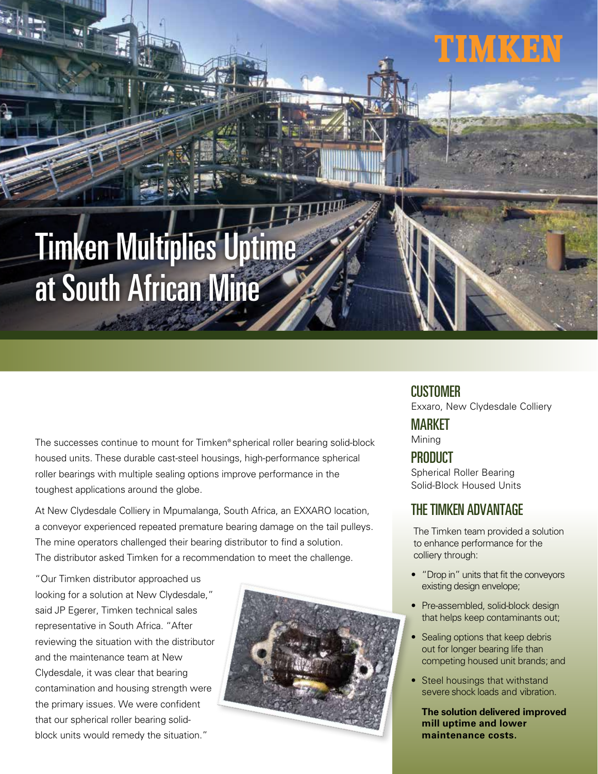# Timken Multiplies Uptime at South African Mine

The successes continue to mount for Timken® spherical roller bearing solid-block housed units. These durable cast-steel housings, high-performance spherical roller bearings with multiple sealing options improve performance in the toughest applications around the globe.

At New Clydesdale Colliery in Mpumalanga, South Africa, an EXXARO location, a conveyor experienced repeated premature bearing damage on the tail pulleys. The mine operators challenged their bearing distributor to find a solution. The distributor asked Timken for a recommendation to meet the challenge.

"Our Timken distributor approached us looking for a solution at New Clydesdale," said JP Egerer, Timken technical sales representative in South Africa. "After reviewing the situation with the distributor and the maintenance team at New Clydesdale, it was clear that bearing contamination and housing strength were the primary issues. We were confident that our spherical roller bearing solidblock units would remedy the situation."



#### CUSTOMER

Exxaro, New Clydesdale Colliery

TIMKEN

MARKET Mining

## **PRODUCT**

Spherical Roller Bearing Solid-Block Housed Units

### THE TIMKEN ADVANTAGE

The Timken team provided a solution to enhance performance for the colliery through:

- "Drop in" units that fit the conveyors existing design envelope;
- Pre-assembled, solid-block design that helps keep contaminants out;
- Sealing options that keep debris out for longer bearing life than competing housed unit brands; and
- Steel housings that withstand severe shock loads and vibration.

**The solution delivered improved mill uptime and lower maintenance costs.**